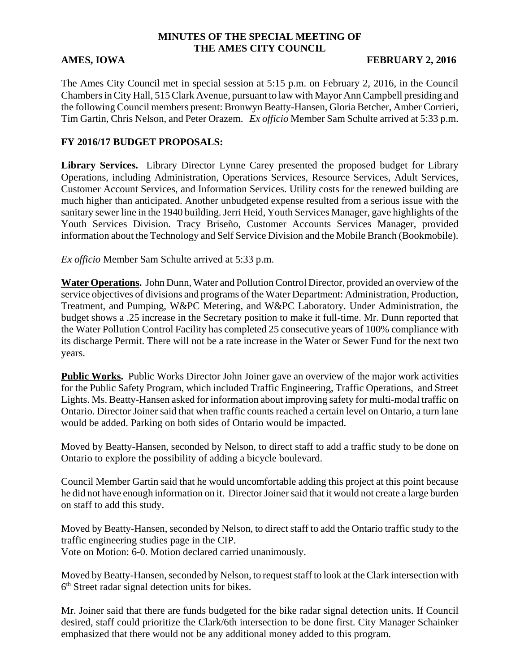# **MINUTES OF THE SPECIAL MEETING OF THE AMES CITY COUNCIL**

### AMES, IOWA **FEBRUARY 2, 2016**

The Ames City Council met in special session at 5:15 p.m. on February 2, 2016, in the Council Chambers in City Hall, 515 Clark Avenue, pursuant to law with Mayor Ann Campbell presiding and the following Council members present: Bronwyn Beatty-Hansen, Gloria Betcher, Amber Corrieri, Tim Gartin, Chris Nelson, and Peter Orazem. *Ex officio* Member Sam Schulte arrived at 5:33 p.m.

# **FY 2016/17 BUDGET PROPOSALS:**

**Library Services.** Library Director Lynne Carey presented the proposed budget for Library Operations, including Administration, Operations Services, Resource Services, Adult Services, Customer Account Services, and Information Services. Utility costs for the renewed building are much higher than anticipated. Another unbudgeted expense resulted from a serious issue with the sanitary sewer line in the 1940 building. Jerri Heid, Youth Services Manager, gave highlights of the Youth Services Division. Tracy Briseño, Customer Accounts Services Manager, provided information about the Technology and Self Service Division and the Mobile Branch (Bookmobile).

*Ex officio* Member Sam Schulte arrived at 5:33 p.m.

**Water Operations.** John Dunn, Water and Pollution Control Director, provided an overview of the service objectives of divisions and programs of the Water Department: Administration, Production, Treatment, and Pumping, W&PC Metering, and W&PC Laboratory. Under Administration, the budget shows a .25 increase in the Secretary position to make it full-time. Mr. Dunn reported that the Water Pollution Control Facility has completed 25 consecutive years of 100% compliance with its discharge Permit. There will not be a rate increase in the Water or Sewer Fund for the next two years.

**Public Works.** Public Works Director John Joiner gave an overview of the major work activities for the Public Safety Program, which included Traffic Engineering, Traffic Operations, and Street Lights. Ms. Beatty-Hansen asked for information about improving safety for multi-modal traffic on Ontario. Director Joiner said that when traffic counts reached a certain level on Ontario, a turn lane would be added. Parking on both sides of Ontario would be impacted.

Moved by Beatty-Hansen, seconded by Nelson, to direct staff to add a traffic study to be done on Ontario to explore the possibility of adding a bicycle boulevard.

Council Member Gartin said that he would uncomfortable adding this project at this point because he did not have enough information on it. Director Joiner said that it would not create a large burden on staff to add this study.

Moved by Beatty-Hansen, seconded by Nelson, to direct staff to add the Ontario traffic study to the traffic engineering studies page in the CIP. Vote on Motion: 6-0. Motion declared carried unanimously.

Moved by Beatty-Hansen, seconded by Nelson, to request staff to look at the Clark intersection with  $6<sup>th</sup>$  Street radar signal detection units for bikes.

Mr. Joiner said that there are funds budgeted for the bike radar signal detection units. If Council desired, staff could prioritize the Clark/6th intersection to be done first. City Manager Schainker emphasized that there would not be any additional money added to this program.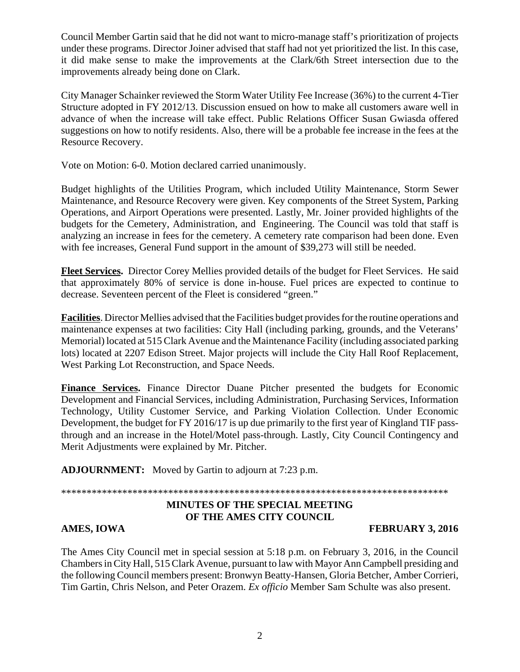Council Member Gartin said that he did not want to micro-manage staff's prioritization of projects under these programs. Director Joiner advised that staff had not yet prioritized the list. In this case, it did make sense to make the improvements at the Clark/6th Street intersection due to the improvements already being done on Clark.

City Manager Schainker reviewed the Storm Water Utility Fee Increase (36%) to the current 4-Tier Structure adopted in FY 2012/13. Discussion ensued on how to make all customers aware well in advance of when the increase will take effect. Public Relations Officer Susan Gwiasda offered suggestions on how to notify residents. Also, there will be a probable fee increase in the fees at the Resource Recovery.

Vote on Motion: 6-0. Motion declared carried unanimously.

Budget highlights of the Utilities Program, which included Utility Maintenance, Storm Sewer Maintenance, and Resource Recovery were given. Key components of the Street System, Parking Operations, and Airport Operations were presented. Lastly, Mr. Joiner provided highlights of the budgets for the Cemetery, Administration, and Engineering. The Council was told that staff is analyzing an increase in fees for the cemetery. A cemetery rate comparison had been done. Even with fee increases, General Fund support in the amount of \$39,273 will still be needed.

**Fleet Services.** Director Corey Mellies provided details of the budget for Fleet Services. He said that approximately 80% of service is done in-house. Fuel prices are expected to continue to decrease. Seventeen percent of the Fleet is considered "green."

**Facilities**. Director Mellies advised that the Facilities budget provides for the routine operations and maintenance expenses at two facilities: City Hall (including parking, grounds, and the Veterans' Memorial) located at 515 Clark Avenue and the Maintenance Facility (including associated parking lots) located at 2207 Edison Street. Major projects will include the City Hall Roof Replacement, West Parking Lot Reconstruction, and Space Needs.

**Finance Services.** Finance Director Duane Pitcher presented the budgets for Economic Development and Financial Services, including Administration, Purchasing Services, Information Technology, Utility Customer Service, and Parking Violation Collection. Under Economic Development, the budget for FY 2016/17 is up due primarily to the first year of Kingland TIF passthrough and an increase in the Hotel/Motel pass-through. Lastly, City Council Contingency and Merit Adjustments were explained by Mr. Pitcher.

**ADJOURNMENT:** Moved by Gartin to adjourn at 7:23 p.m.

\*\*\*\*\*\*\*\*\*\*\*\*\*\*\*\*\*\*\*\*\*\*\*\*\*\*\*\*\*\*\*\*\*\*\*\*\*\*\*\*\*\*\*\*\*\*\*\*\*\*\*\*\*\*\*\*\*\*\*\*\*\*\*\*\*\*\*\*\*\*\*\*\*\*\*\*

# **MINUTES OF THE SPECIAL MEETING OF THE AMES CITY COUNCIL**

**AMES, IOWA FEBRUARY 3, 2016** 

The Ames City Council met in special session at 5:18 p.m. on February 3, 2016, in the Council Chambers in City Hall, 515 Clark Avenue, pursuant to law with Mayor Ann Campbell presiding and the following Council members present: Bronwyn Beatty-Hansen, Gloria Betcher, Amber Corrieri, Tim Gartin, Chris Nelson, and Peter Orazem. *Ex officio* Member Sam Schulte was also present.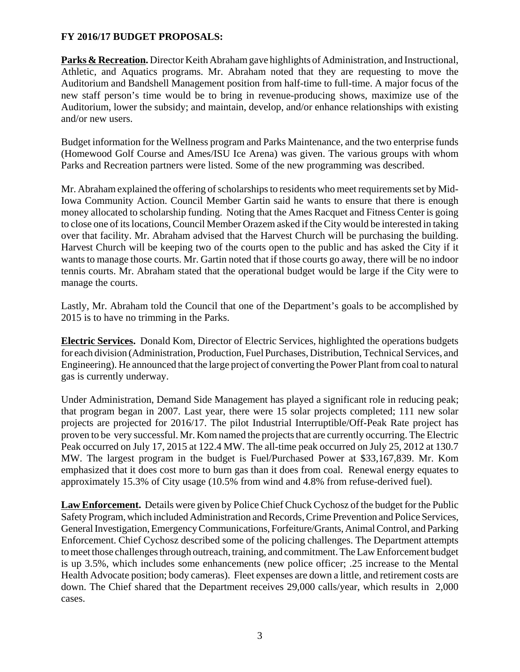### **FY 2016/17 BUDGET PROPOSALS:**

**Parks & Recreation.** Director Keith Abraham gave highlights of Administration, and Instructional, Athletic, and Aquatics programs. Mr. Abraham noted that they are requesting to move the Auditorium and Bandshell Management position from half-time to full-time. A major focus of the new staff person's time would be to bring in revenue-producing shows, maximize use of the Auditorium, lower the subsidy; and maintain, develop, and/or enhance relationships with existing and/or new users.

Budget information for the Wellness program and Parks Maintenance, and the two enterprise funds (Homewood Golf Course and Ames/ISU Ice Arena) was given. The various groups with whom Parks and Recreation partners were listed. Some of the new programming was described.

Mr. Abraham explained the offering of scholarships to residents who meet requirements set by Mid-Iowa Community Action. Council Member Gartin said he wants to ensure that there is enough money allocated to scholarship funding. Noting that the Ames Racquet and Fitness Center is going to close one of its locations, Council Member Orazem asked if the City would be interested in taking over that facility. Mr. Abraham advised that the Harvest Church will be purchasing the building. Harvest Church will be keeping two of the courts open to the public and has asked the City if it wants to manage those courts. Mr. Gartin noted that if those courts go away, there will be no indoor tennis courts. Mr. Abraham stated that the operational budget would be large if the City were to manage the courts.

Lastly, Mr. Abraham told the Council that one of the Department's goals to be accomplished by 2015 is to have no trimming in the Parks.

**Electric Services.** Donald Kom, Director of Electric Services, highlighted the operations budgets for each division (Administration, Production, Fuel Purchases, Distribution, Technical Services, and Engineering). He announced that the large project of converting the Power Plant from coal to natural gas is currently underway.

Under Administration, Demand Side Management has played a significant role in reducing peak; that program began in 2007. Last year, there were 15 solar projects completed; 111 new solar projects are projected for 2016/17. The pilot Industrial Interruptible/Off-Peak Rate project has proven to be very successful. Mr. Kom named the projects that are currently occurring. The Electric Peak occurred on July 17, 2015 at 122.4 MW. The all-time peak occurred on July 25, 2012 at 130.7 MW. The largest program in the budget is Fuel/Purchased Power at \$33,167,839. Mr. Kom emphasized that it does cost more to burn gas than it does from coal. Renewal energy equates to approximately 15.3% of City usage (10.5% from wind and 4.8% from refuse-derived fuel).

**Law Enforcement.** Details were given by Police Chief Chuck Cychosz of the budget for the Public Safety Program, which included Administration and Records, Crime Prevention and Police Services, General Investigation, Emergency Communications, Forfeiture/Grants, Animal Control, and Parking Enforcement. Chief Cychosz described some of the policing challenges. The Department attempts to meet those challenges through outreach, training, and commitment. The Law Enforcement budget is up 3.5%, which includes some enhancements (new police officer; .25 increase to the Mental Health Advocate position; body cameras). Fleet expenses are down a little, and retirement costs are down. The Chief shared that the Department receives 29,000 calls/year, which results in 2,000 cases.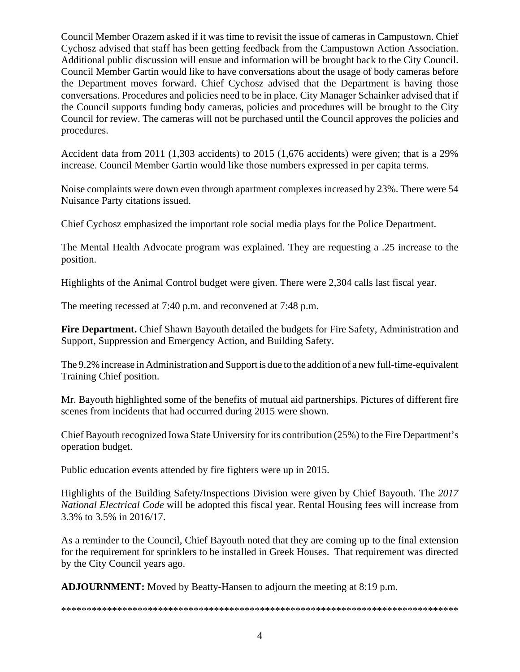Council Member Orazem asked if it was time to revisit the issue of cameras in Campustown. Chief Cychosz advised that staff has been getting feedback from the Campustown Action Association. Additional public discussion will ensue and information will be brought back to the City Council. Council Member Gartin would like to have conversations about the usage of body cameras before the Department moves forward. Chief Cychosz advised that the Department is having those conversations. Procedures and policies need to be in place. City Manager Schainker advised that if the Council supports funding body cameras, policies and procedures will be brought to the City Council for review. The cameras will not be purchased until the Council approves the policies and procedures.

Accident data from 2011 (1,303 accidents) to 2015 (1,676 accidents) were given; that is a 29% increase. Council Member Gartin would like those numbers expressed in per capita terms.

Noise complaints were down even through apartment complexes increased by 23%. There were 54 Nuisance Party citations issued.

Chief Cychosz emphasized the important role social media plays for the Police Department.

The Mental Health Advocate program was explained. They are requesting a .25 increase to the position.

Highlights of the Animal Control budget were given. There were 2,304 calls last fiscal year.

The meeting recessed at 7:40 p.m. and reconvened at 7:48 p.m.

**Fire Department.** Chief Shawn Bayouth detailed the budgets for Fire Safety, Administration and Support, Suppression and Emergency Action, and Building Safety.

The 9.2% increase in Administration and Support is due to the addition of a new full-time-equivalent Training Chief position.

Mr. Bayouth highlighted some of the benefits of mutual aid partnerships. Pictures of different fire scenes from incidents that had occurred during 2015 were shown.

Chief Bayouth recognized Iowa State University for its contribution (25%) to the Fire Department's operation budget.

Public education events attended by fire fighters were up in 2015.

Highlights of the Building Safety/Inspections Division were given by Chief Bayouth. The *2017 National Electrical Code* will be adopted this fiscal year. Rental Housing fees will increase from 3.3% to 3.5% in 2016/17.

As a reminder to the Council, Chief Bayouth noted that they are coming up to the final extension for the requirement for sprinklers to be installed in Greek Houses. That requirement was directed by the City Council years ago.

**ADJOURNMENT:** Moved by Beatty-Hansen to adjourn the meeting at 8:19 p.m.

\*\*\*\*\*\*\*\*\*\*\*\*\*\*\*\*\*\*\*\*\*\*\*\*\*\*\*\*\*\*\*\*\*\*\*\*\*\*\*\*\*\*\*\*\*\*\*\*\*\*\*\*\*\*\*\*\*\*\*\*\*\*\*\*\*\*\*\*\*\*\*\*\*\*\*\*\*\*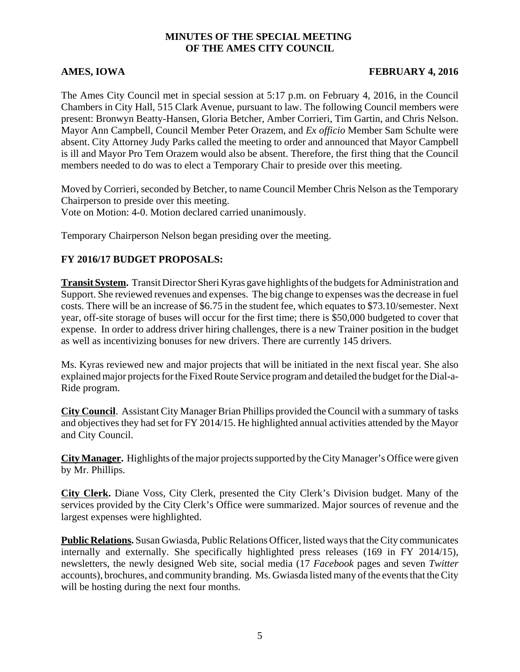### **MINUTES OF THE SPECIAL MEETING OF THE AMES CITY COUNCIL**

### **AMES, IOWA FEBRUARY 4, 2016**

The Ames City Council met in special session at 5:17 p.m. on February 4, 2016, in the Council Chambers in City Hall, 515 Clark Avenue, pursuant to law. The following Council members were present: Bronwyn Beatty-Hansen, Gloria Betcher, Amber Corrieri, Tim Gartin, and Chris Nelson. Mayor Ann Campbell, Council Member Peter Orazem, and *Ex officio* Member Sam Schulte were absent. City Attorney Judy Parks called the meeting to order and announced that Mayor Campbell is ill and Mayor Pro Tem Orazem would also be absent. Therefore, the first thing that the Council members needed to do was to elect a Temporary Chair to preside over this meeting.

Moved by Corrieri, seconded by Betcher, to name Council Member Chris Nelson as the Temporary Chairperson to preside over this meeting. Vote on Motion: 4-0. Motion declared carried unanimously.

Temporary Chairperson Nelson began presiding over the meeting.

# **FY 2016/17 BUDGET PROPOSALS:**

**Transit System.** Transit Director Sheri Kyras gave highlights of the budgets for Administration and Support. She reviewed revenues and expenses. The big change to expenses was the decrease in fuel costs. There will be an increase of \$6.75 in the student fee, which equates to \$73.10/semester. Next year, off-site storage of buses will occur for the first time; there is \$50,000 budgeted to cover that expense. In order to address driver hiring challenges, there is a new Trainer position in the budget as well as incentivizing bonuses for new drivers. There are currently 145 drivers.

Ms. Kyras reviewed new and major projects that will be initiated in the next fiscal year. She also explained major projects for the Fixed Route Service program and detailed the budget for the Dial-a-Ride program.

**City Council**. Assistant City Manager Brian Phillips provided the Council with a summary of tasks and objectives they had set for FY 2014/15. He highlighted annual activities attended by the Mayor and City Council.

**City Manager.** Highlights of the major projects supported by the City Manager's Office were given by Mr. Phillips.

**City Clerk.** Diane Voss, City Clerk, presented the City Clerk's Division budget. Many of the services provided by the City Clerk's Office were summarized. Major sources of revenue and the largest expenses were highlighted.

**Public Relations.** Susan Gwiasda, Public Relations Officer, listed ways that the City communicates internally and externally. She specifically highlighted press releases (169 in FY 2014/15), newsletters, the newly designed Web site, social media (17 *Facebook* pages and seven *Twitter* accounts), brochures, and community branding. Ms. Gwiasda listed many of the events that the City will be hosting during the next four months.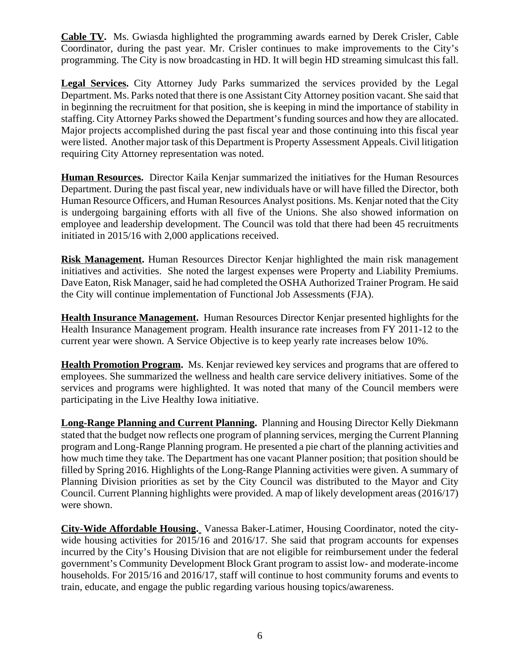**Cable TV.** Ms. Gwiasda highlighted the programming awards earned by Derek Crisler, Cable Coordinator, during the past year. Mr. Crisler continues to make improvements to the City's programming. The City is now broadcasting in HD. It will begin HD streaming simulcast this fall.

**Legal Services.** City Attorney Judy Parks summarized the services provided by the Legal Department. Ms. Parks noted that there is one Assistant City Attorney position vacant. She said that in beginning the recruitment for that position, she is keeping in mind the importance of stability in staffing. City Attorney Parks showed the Department's funding sources and how they are allocated. Major projects accomplished during the past fiscal year and those continuing into this fiscal year were listed. Another major task of this Department is Property Assessment Appeals. Civil litigation requiring City Attorney representation was noted.

**Human Resources.** Director Kaila Kenjar summarized the initiatives for the Human Resources Department. During the past fiscal year, new individuals have or will have filled the Director, both Human Resource Officers, and Human Resources Analyst positions. Ms. Kenjar noted that the City is undergoing bargaining efforts with all five of the Unions. She also showed information on employee and leadership development. The Council was told that there had been 45 recruitments initiated in 2015/16 with 2,000 applications received.

**Risk Management.** Human Resources Director Kenjar highlighted the main risk management initiatives and activities. She noted the largest expenses were Property and Liability Premiums. Dave Eaton, Risk Manager, said he had completed the OSHA Authorized Trainer Program. He said the City will continue implementation of Functional Job Assessments (FJA).

**Health Insurance Management.** Human Resources Director Kenjar presented highlights for the Health Insurance Management program. Health insurance rate increases from FY 2011-12 to the current year were shown. A Service Objective is to keep yearly rate increases below 10%.

**Health Promotion Program.** Ms. Kenjar reviewed key services and programs that are offered to employees. She summarized the wellness and health care service delivery initiatives. Some of the services and programs were highlighted. It was noted that many of the Council members were participating in the Live Healthy Iowa initiative.

**Long-Range Planning and Current Planning.** Planning and Housing Director Kelly Diekmann stated that the budget now reflects one program of planning services, merging the Current Planning program and Long-Range Planning program. He presented a pie chart of the planning activities and how much time they take. The Department has one vacant Planner position; that position should be filled by Spring 2016. Highlights of the Long-Range Planning activities were given. A summary of Planning Division priorities as set by the City Council was distributed to the Mayor and City Council. Current Planning highlights were provided. A map of likely development areas (2016/17) were shown.

**City-Wide Affordable Housing.** Vanessa Baker-Latimer, Housing Coordinator, noted the citywide housing activities for 2015/16 and 2016/17. She said that program accounts for expenses incurred by the City's Housing Division that are not eligible for reimbursement under the federal government's Community Development Block Grant program to assist low- and moderate-income households. For 2015/16 and 2016/17, staff will continue to host community forums and events to train, educate, and engage the public regarding various housing topics/awareness.